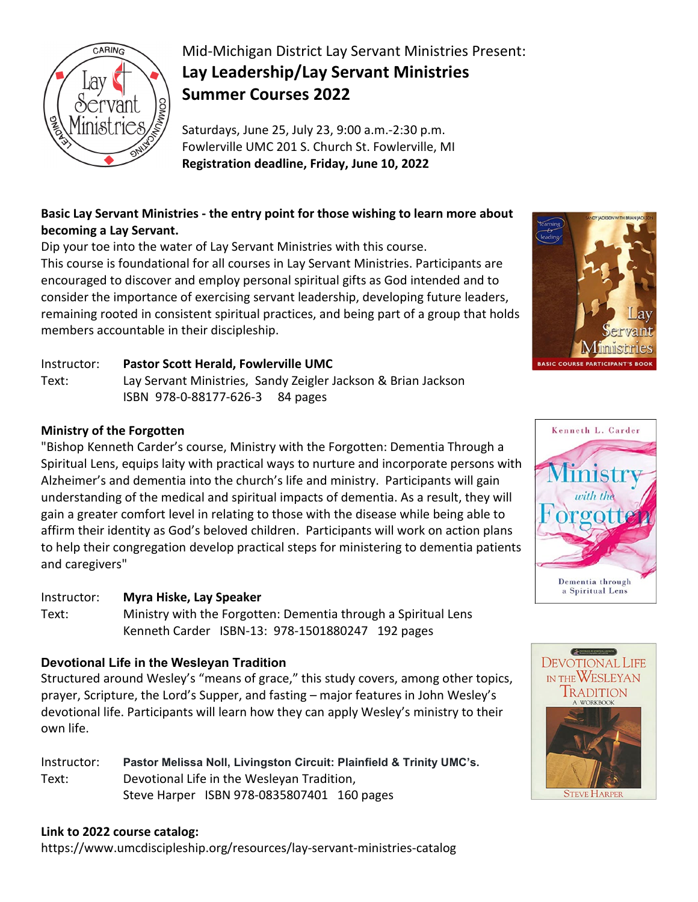

# Mid-Michigan District Lay Servant Ministries Present: **Lay Leadership/Lay Servant Ministries Summer Courses 2022**

Saturdays, June 25, July 23, 9:00 a.m.-2:30 p.m. Fowlerville UMC 201 S. Church St. Fowlerville, MI **Registration deadline, Friday, June 10, 2022**

## **Basic Lay Servant Ministries - the entry point for those wishing to learn more about becoming a Lay Servant.**

Dip your toe into the water of Lay Servant Ministries with this course. This course is foundational for all courses in Lay Servant Ministries. Participants are encouraged to discover and employ personal spiritual gifts as God intended and to consider the importance of exercising servant leadership, developing future leaders, remaining rooted in consistent spiritual practices, and being part of a group that holds members accountable in their discipleship.

### Instructor: **Pastor Scott Herald, Fowlerville UMC**

Text: Lay Servant Ministries, Sandy Zeigler Jackson & Brian Jackson ISBN 978-0-88177-626-3 84 pages

### **Ministry of the Forgotten**

"Bishop Kenneth Carder's course, Ministry with the Forgotten: Dementia Through a Spiritual Lens, equips laity with practical ways to nurture and incorporate persons with Alzheimer's and dementia into the church's life and ministry. Participants will gain understanding of the medical and spiritual impacts of dementia. As a result, they will gain a greater comfort level in relating to those with the disease while being able to affirm their identity as God's beloved children. Participants will work on action plans to help their congregation develop practical steps for ministering to dementia patients and caregivers"

### Instructor: **Myra Hiske, Lay Speaker**

Text: Ministry with the Forgotten: Dementia through a Spiritual Lens Kenneth Carder ISBN-13: 978-1501880247 192 pages

### **Devotional Life in the Wesleyan Tradition**

Structured around Wesley's "means of grace," this study covers, among other topics, prayer, Scripture, the Lord's Supper, and fasting – major features in John Wesley's devotional life. Participants will learn how they can apply Wesley's ministry to their own life.

Instructor: **Pastor Melissa Noll, Livingston Circuit: Plainfield & Trinity UMC's.** Text: Devotional Life in the Wesleyan Tradition, Steve Harper ISBN 978-0835807401 160 pages

### **Link to 2022 course catalog:**

https://www.umcdiscipleship.org/resources/lay-servant-ministries-catalog